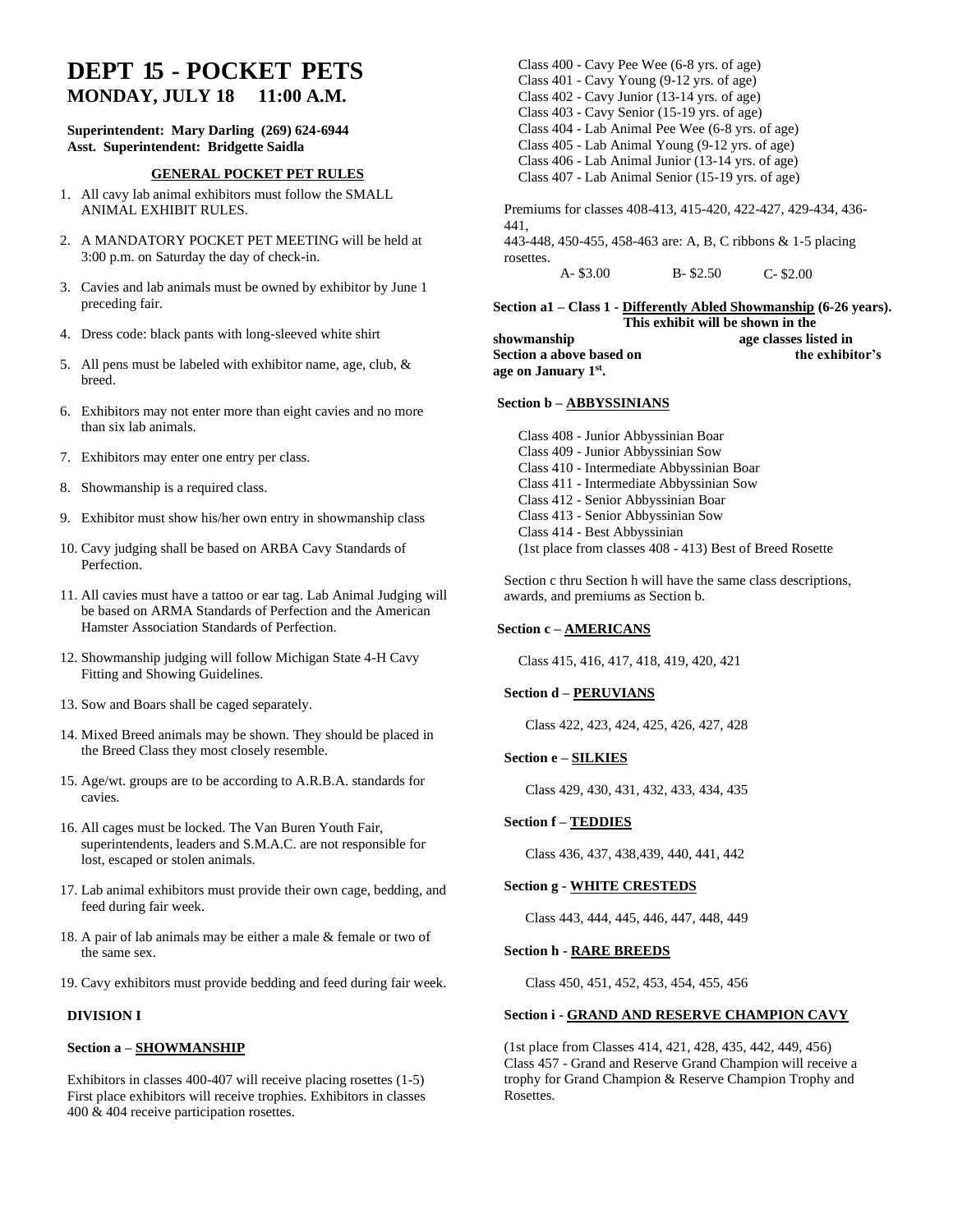# **DEPT 15 - POCKET PETS MONDAY, JULY 18 11:00 A.M.**

# **Superintendent: Mary Darling (269) 624-6944 Asst. Superintendent: Bridgette Saidla**

# **GENERAL POCKET PET RULES**

- 1. All cavy lab animal exhibitors must follow the SMALL ANIMAL EXHIBIT RULES.
- 2. A MANDATORY POCKET PET MEETING will be held at 3:00 p.m. on Saturday the day of check-in.
- 3. Cavies and lab animals must be owned by exhibitor by June 1 preceding fair.
- 4. Dress code: black pants with long-sleeved white shirt
- 5. All pens must be labeled with exhibitor name, age, club, & breed.
- 6. Exhibitors may not enter more than eight cavies and no more than six lab animals.
- 7. Exhibitors may enter one entry per class.
- 8. Showmanship is a required class.
- 9. Exhibitor must show his/her own entry in showmanship class
- 10. Cavy judging shall be based on ARBA Cavy Standards of Perfection.
- 11. All cavies must have a tattoo or ear tag. Lab Animal Judging will be based on ARMA Standards of Perfection and the American Hamster Association Standards of Perfection.
- 12. Showmanship judging will follow Michigan State 4-H Cavy Fitting and Showing Guidelines.
- 13. Sow and Boars shall be caged separately.
- 14. Mixed Breed animals may be shown. They should be placed in the Breed Class they most closely resemble.
- 15. Age/wt. groups are to be according to A.R.B.A. standards for cavies.
- 16. All cages must be locked. The Van Buren Youth Fair, superintendents, leaders and S.M.A.C. are not responsible for lost, escaped or stolen animals.
- 17. Lab animal exhibitors must provide their own cage, bedding, and feed during fair week.
- 18. A pair of lab animals may be either a male & female or two of the same sex.
- 19. Cavy exhibitors must provide bedding and feed during fair week.

# **DIVISION I**

### **Section a – SHOWMANSHIP**

Exhibitors in classes 400-407 will receive placing rosettes (1-5) First place exhibitors will receive trophies. Exhibitors in classes 400 & 404 receive participation rosettes.

Class 400 - Cavy Pee Wee (6-8 yrs. of age) Class 401 - Cavy Young (9-12 yrs. of age) Class 402 - Cavy Junior (13-14 yrs. of age) Class 403 - Cavy Senior (15-19 yrs. of age) Class 404 - Lab Animal Pee Wee (6-8 yrs. of age) Class 405 - Lab Animal Young (9-12 yrs. of age) Class 406 - Lab Animal Junior (13-14 yrs. of age) Class 407 - Lab Animal Senior (15-19 yrs. of age) Premiums for classes 408-413, 415-420, 422-427, 429-434, 436- 441, 443-448, 450-455, 458-463 are: A, B, C ribbons & 1-5 placing rosettes. A- \$3.00 B- \$2.50 C- \$2.00

**Section a1 – Class 1 - Differently Abled Showmanship (6-26 years). This exhibit will be shown in the showmanship age classes listed in**  Section a above based on the exhibitor's **age on January 1st .**

#### **Section b – ABBYSSINIANS**

Class 408 - Junior Abbyssinian Boar Class 409 - Junior Abbyssinian Sow Class 410 - Intermediate Abbyssinian Boar Class 411 - Intermediate Abbyssinian Sow Class 412 - Senior Abbyssinian Boar Class 413 - Senior Abbyssinian Sow Class 414 - Best Abbyssinian (1st place from classes 408 - 413) Best of Breed Rosette

Section c thru Section h will have the same class descriptions, awards, and premiums as Section b.

### **Section c – AMERICANS**

Class 415, 416, 417, 418, 419, 420, 421

#### **Section d – PERUVIANS**

Class 422, 423, 424, 425, 426, 427, 428

### **Section e – SILKIES**

Class 429, 430, 431, 432, 433, 434, 435

### **Section f – TEDDIES**

Class 436, 437, 438,439, 440, 441, 442

# **Section g - WHITE CRESTEDS**

Class 443, 444, 445, 446, 447, 448, 449

#### **Section h - RARE BREEDS**

Class 450, 451, 452, 453, 454, 455, 456

# **Section i - GRAND AND RESERVE CHAMPION CAVY**

(1st place from Classes 414, 421, 428, 435, 442, 449, 456) Class 457 - Grand and Reserve Grand Champion will receive a trophy for Grand Champion & Reserve Champion Trophy and Rosettes.